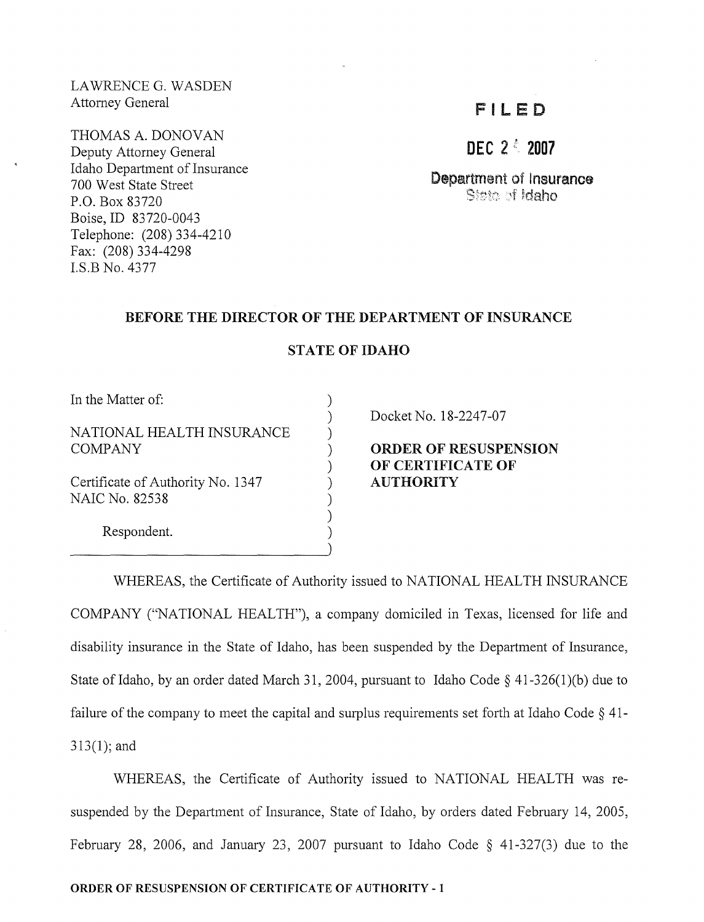LAWRENCE G. WASDEN Attorney General

THOMAS A. DONOVAN Deputy Attorney General Idaho Department of Insurance 700 West State Street P.O. Box 83720 Boise, ID 83720-0043 Telephone: (208) 334-4210 Fax: (208) 334-4298 LS.B No. 4377

# F I LED

**DEC** 2*t 2007*

Department of lnsurance idaho of Idaho

#### BEFORE THE DIRECTOR OF THE DEPARTMENT OF INSURANCE

### STATE OF IDAHO

) ) ) ) ) ) ) ) ) )

In the Matter of:

NATIONAL HEALTH INSURANCE COMPANY

Certificate of Authority No. 1347 NAIC No. 82538

Respondent.

Docket No. 18-2247-07

## ORDER OF RESUSPENSION OF CERTIFICATE OF AUTHORITY

WHEREAS, the Certificate of Authority issued to NATIONAL HEALTH INSURANCE COMPANY ("NATIONAL HEALTH"), a company domiciled in Texas, licensed for life and disability insurance in the State of Idaho, has been suspended by the Department of Insurance, State of Idaho, by an order dated March 31, 2004, pursuant to Idaho Code  $\S$  41-326(1)(b) due to failure of the company to meet the capital and surplus requirements set forth at Idaho Code  $\S$  41-313(1); and

WHEREAS, the Certificate of Authority issued to NATIONAL HEALTH was resuspended by the Department of Insurance, State of Idaho, by orders dated February 14, 2005, February 28, 2006, and January 23, 2007 pursuant to Idaho Code § 41-327(3) due to the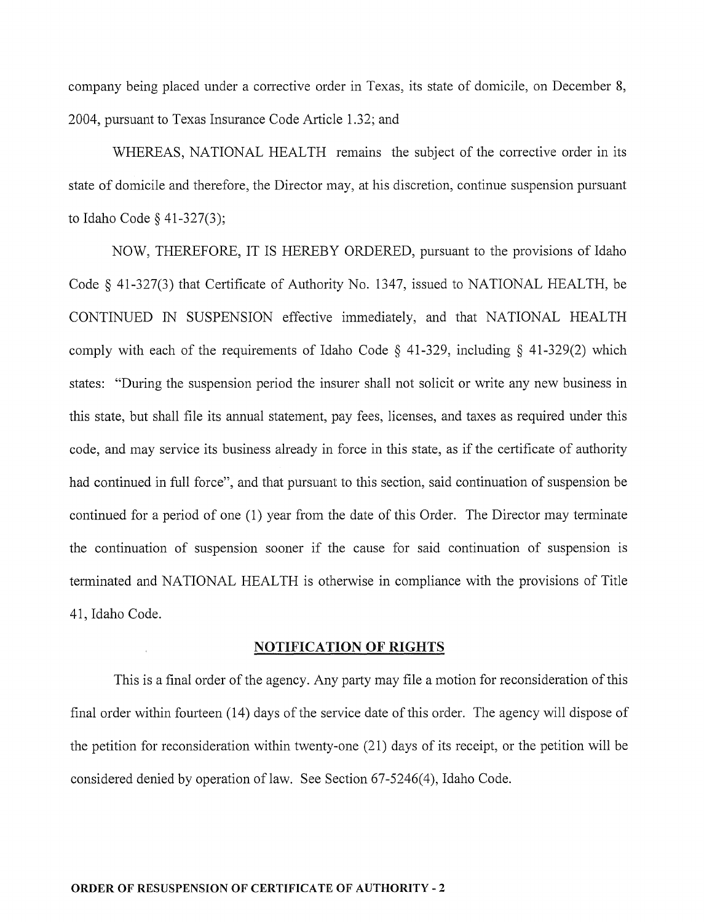company being placed under a corrective order in Texas, its state of domicile, on December 8, 2004, pursuant to Texas Insurance Code Article 1.32; and

WHEREAS, NATIONAL HEALTH remains the subject of the corrective order in its state of domicile and therefore, the Director may, at his discretion, continue suspension pursuant to Idaho Code § 41-327(3);

NOW, THEREFORE, IT IS HEREBY ORDERED, pursuant to the provisions of Idaho Code § 41-327(3) that Certificate of Authority No. 1347, issued to NATIONAL HEALTH, be CONTINUED IN SUSPENSION effective immediately, and that NATIONAL HEALTH comply with each of the requirements of Idaho Code § 41-329, including § 41-329(2) which states: "During the suspension period the insurer shall not solicit or write any new business in this state, but shall file its annual statement, pay fees, licenses, and taxes as required under this code, and may service its business already in force in this state, as if the certificate of authority had continued in full force", and that pursuant to this section, said continuation of suspension be continued for a period of one (l) year from the date of this Order. The Director may terminate the continuation of suspension sooner if the cause for said continuation of suspension is terminated and NATIONAL HEALTH is otherwise in compliance with the provisions of Title 41, Idaho Code.

#### NOTIFICATION OF RIGHTS

This is a final order of the agency. Any party may file a motion for reconsideration of this final order within fourteen (14) days of the service date of this order. The agency will dispose of the petition for reconsideration within twenty-one (21) days of its receipt, or the petition will be considered denied by operation of law. See Section 67-5246(4), Idaho Code.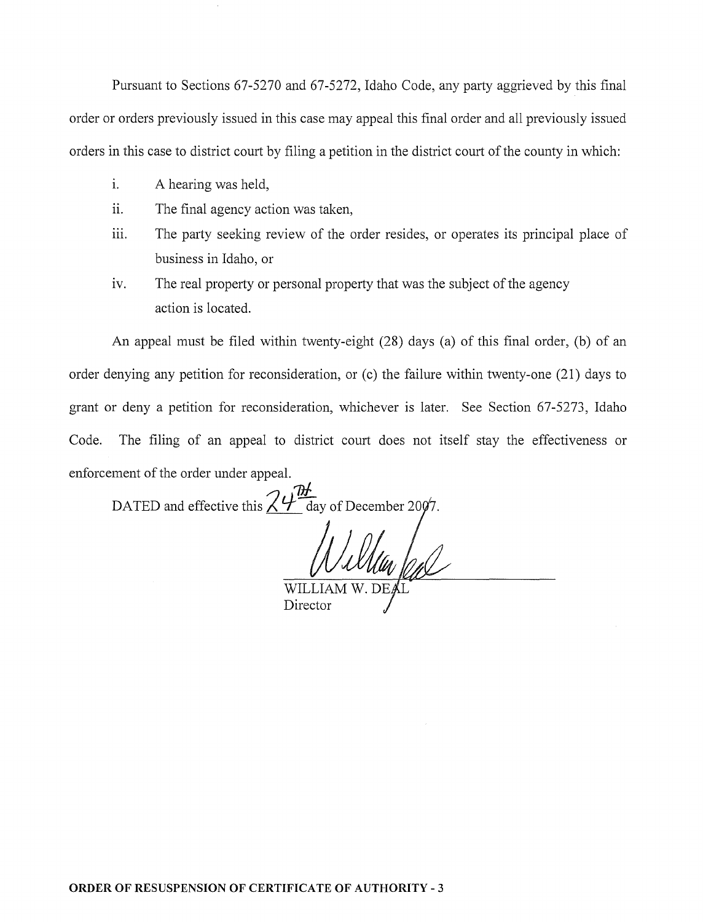Pursuant to Sections 67-5270 and 67-5272, Idaho Code, any party aggrieved by this final order or orders previously issued in this case may appeal this final order and all previously issued orders in this case to district court by filing a petition in the district court of the county in which:

- i. A hearing was held,
- ii. The final agency action was taken,
- iii. The party seeking review of the order resides, or operates its principal place of business in Idaho, or
- iv. The real property or personal property that was the subject of the agency action is located.

An appeal must be filed within twenty-eight (28) days (a) of this final order, (b) of an order denying any petition for reconsideration, or (c) the failure within twenty-one (21) days to grant or deny a petition for reconsideration, whichever is later. See Section 67-5273, Idaho Code. The filing of an appeal to district court does not itself stay the effectiveness or enforcement of the order under appeal.

<u>ገଧ</u> DATED and effective this  $\angle 4\sqrt{1}$  day of December 20

WILLIA Director